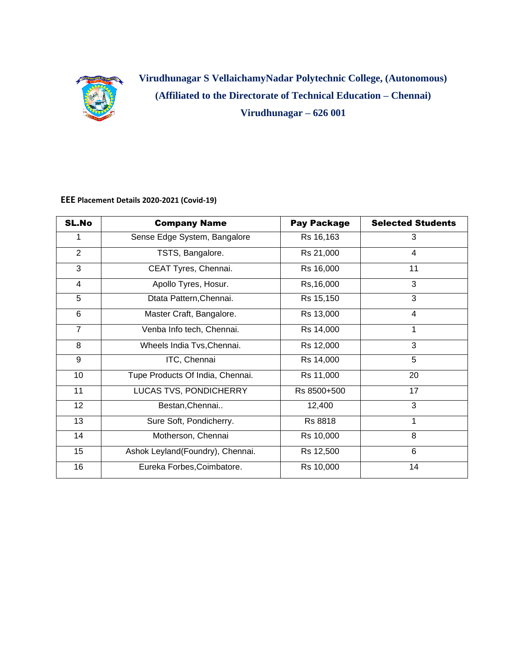

**Virudhunagar S VellaichamyNadar Polytechnic College, (Autonomous) (Affiliated to the Directorate of Technical Education – Chennai) Virudhunagar – 626 001**

**EEE Placement Details 2020-2021 (Covid-19)**

| <b>SL.No</b>    | <b>Company Name</b>              | <b>Pay Package</b>      | <b>Selected Students</b> |
|-----------------|----------------------------------|-------------------------|--------------------------|
| 1.              | Sense Edge System, Bangalore     | Rs 16,163               | 3                        |
| $\overline{2}$  | TSTS, Bangalore.                 | Rs 21,000               | 4                        |
| 3               | CEAT Tyres, Chennai.             | Rs 16,000               | 11                       |
| 4               | Apollo Tyres, Hosur.             | Rs, 16,000              | 3                        |
| 5               | Dtata Pattern, Chennai.          | $\overline{R}$ s 15,150 | 3                        |
| 6               | Master Craft, Bangalore.         | Rs 13,000               | $\overline{4}$           |
| $\overline{7}$  | Venba Info tech, Chennai.        | Rs 14,000               | 1                        |
| 8               | Wheels India Tvs, Chennai.       | Rs 12,000               | 3                        |
| 9               | ITC, Chennai                     | Rs 14,000               | 5                        |
| 10              | Tupe Products Of India, Chennai. | Rs 11,000               | 20                       |
| 11              | LUCAS TVS, PONDICHERRY           | Rs 8500+500             | 17                       |
| 12 <sup>2</sup> | Bestan, Chennai                  | 12,400                  | 3                        |
| 13              | Sure Soft, Pondicherry.          | Rs 8818                 | 1                        |
| 14              | Motherson, Chennai               | Rs 10,000               | 8                        |
| 15              | Ashok Leyland(Foundry), Chennai. | Rs 12,500               | 6                        |
| 16              | Eureka Forbes, Coimbatore.       | Rs 10,000               | 14                       |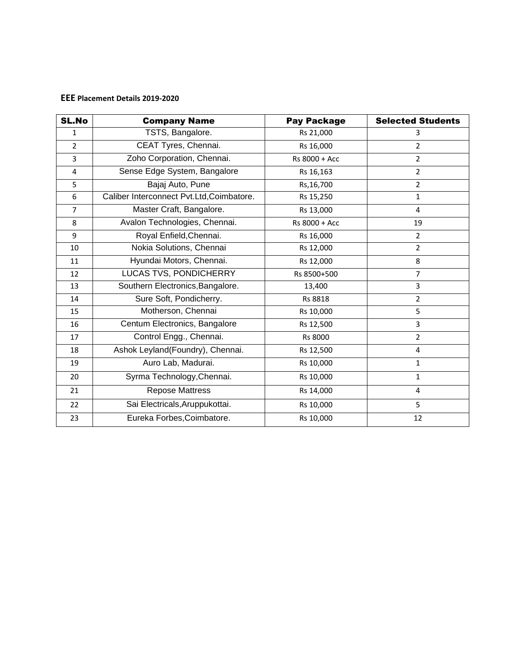## **EEE Placement Details 2019-2020**

| <b>SL.No</b>   | <b>Company Name</b>                       | <b>Pay Package</b> | <b>Selected Students</b> |
|----------------|-------------------------------------------|--------------------|--------------------------|
| $\mathbf{1}$   | TSTS, Bangalore.                          | Rs 21,000          | 3                        |
| $\overline{2}$ | CEAT Tyres, Chennai.                      | Rs 16,000          | $\overline{2}$           |
| 3              | Zoho Corporation, Chennai.                | Rs 8000 + Acc      | $\overline{2}$           |
| 4              | Sense Edge System, Bangalore              | Rs 16,163          | $\overline{2}$           |
| 5              | Bajaj Auto, Pune                          | Rs, 16, 700        | $\overline{2}$           |
| 6              | Caliber Interconnect Pvt.Ltd, Coimbatore. | Rs 15,250          | $\mathbf 1$              |
| $\overline{7}$ | Master Craft, Bangalore.                  | Rs 13,000          | 4                        |
| 8              | Avalon Technologies, Chennai.             | Rs 8000 + Acc      | 19                       |
| 9              | Royal Enfield, Chennai.                   | Rs 16,000          | $\overline{2}$           |
| 10             | Nokia Solutions, Chennai                  | Rs 12,000          | $\overline{2}$           |
| 11             | Hyundai Motors, Chennai.                  | Rs 12,000          | 8                        |
| 12             | <b>LUCAS TVS, PONDICHERRY</b>             | Rs 8500+500        | 7                        |
| 13             | Southern Electronics, Bangalore.          | 13,400             | 3                        |
| 14             | Sure Soft, Pondicherry.                   | Rs 8818            | $\overline{2}$           |
| 15             | Motherson, Chennai                        | Rs 10,000          | 5                        |
| 16             | Centum Electronics, Bangalore             | Rs 12,500          | 3                        |
| 17             | Control Engg., Chennai.                   | Rs 8000            | $\overline{2}$           |
| 18             | Ashok Leyland(Foundry), Chennai.          | Rs 12,500          | 4                        |
| 19             | Auro Lab, Madurai.                        | Rs 10,000          | $\mathbf{1}$             |
| 20             | Syrma Technology, Chennai.                | Rs 10,000          | $\mathbf{1}$             |
| 21             | <b>Repose Mattress</b>                    | Rs 14,000          | 4                        |
| 22             | Sai Electricals, Aruppukottai.            | Rs 10,000          | 5                        |
| 23             | Eureka Forbes, Coimbatore.                | Rs 10,000          | 12                       |